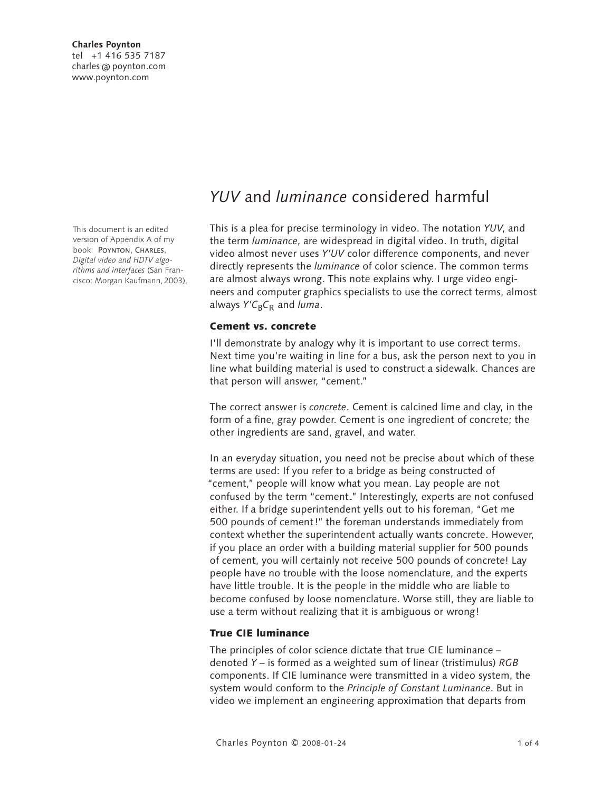This document is an edited version of Appendix A of my book: Poynton, Charles, *Digital video and HDTV algorithms and interfaces* (San Francisco: Morgan Kaufmann, 2003).

# *YUV* and *luminance* considered harmful

This is a plea for precise terminology in video. The notation *YUV*, and the term *luminance*, are widespread in digital video. In truth, digital video almost never uses *Y'UV* color difference components, and never directly represents the *luminance* of color science. The common terms are almost always wrong. This note explains why. I urge video engineers and computer graphics specialists to use the correct terms, almost always  $Y'C_RC_R$  and *luma*.

## Cement vs. concrete

I'll demonstrate by analogy why it is important to use correct terms. Next time you're waiting in line for a bus, ask the person next to you in line what building material is used to construct a sidewalk. Chances are that person will answer, "cement."

The correct answer is *concrete*. Cement is calcined lime and clay, in the form of a fine, gray powder. Cement is one ingredient of concrete; the other ingredients are sand, gravel, and water.

In an everyday situation, you need not be precise about which of these terms are used: If you refer to a bridge as being constructed of "cement," people will know what you mean. Lay people are not confused by the term "cement.." Interestingly, experts are not confused either. If a bridge superintendent yells out to his foreman, "Get me 500 pounds of cement!" the foreman understands immediately from context whether the superintendent actually wants concrete. However, if you place an order with a building material supplier for 500 pounds of cement, you will certainly not receive 500 pounds of concrete! Lay people have no trouble with the loose nomenclature, and the experts have little trouble. It is the people in the middle who are liable to become confused by loose nomenclature. Worse still, they are liable to use a term without realizing that it is ambiguous or wrong!

## True CIE luminance

The principles of color science dictate that true CIE luminance – denoted *Y* – is formed as a weighted sum of linear (tristimulus) *RGB* components. If CIE luminance were transmitted in a video system, the system would conform to the *Principle of Constant Luminance*. But in video we implement an engineering approximation that departs from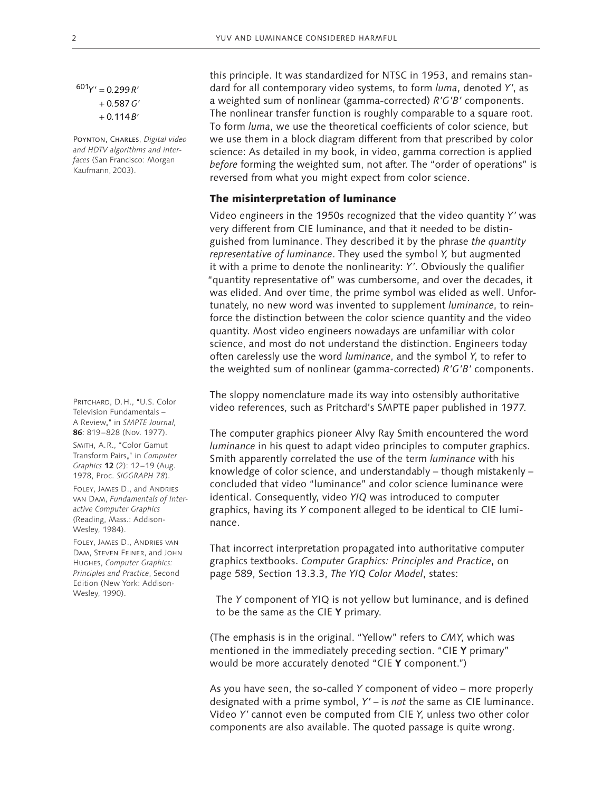<sup>601</sup> 0 299 *'* = *' Y R .* 0 587 + *' G .* 0 114 + *' B .*

Poynton, Charles, *Digital video and HDTV algorithms and interfaces* (San Francisco: Morgan Kaufmann, 2003).

Pritchard, D.H., "U.S. Color Television Fundamentals – A Review,," in *SMPTE Journal,* **86**: 819–828 (Nov. 1977).

Smith, A.R., "Color Gamut Transform Pairs,," in *Computer Graphics* **12** (2): 12–19 (Aug. 1978, Proc. *SIGGRAPH 78*).

Foley, James D., and Andries van Dam, *Fundamentals of Interactive Computer Graphics* (Reading, Mass.: Addison-Wesley, 1984).

Foley, James D., Andries van Dam, Steven Feiner, and John Hughes, *Computer Graphics: Principles and Practice*, Second Edition (New York: Addison-Wesley, 1990).

this principle. It was standardized for NTSC in 1953, and remains standard for all contemporary video systems, to form *luma*, denoted *Y'*, as a weighted sum of nonlinear (gamma-corrected) *R'G'B'* components. The nonlinear transfer function is roughly comparable to a square root. To form *luma*, we use the theoretical coefficients of color science, but we use them in a block diagram different from that prescribed by color science: As detailed in my book, in video, gamma correction is applied *before* forming the weighted sum, not after. The "order of operations" is reversed from what you might expect from color science.

#### The misinterpretation of luminance

Video engineers in the 1950s recognized that the video quantity *Y'* was very different from CIE luminance, and that it needed to be distinguished from luminance. They described it by the phrase *the quantity representative of luminance*. They used the symbol *Y,* but augmented it with a prime to denote the nonlinearity: *Y'*. Obviously the qualifier "quantity representative of" was cumbersome, and over the decades, it was elided. And over time, the prime symbol was elided as well. Unfortunately, no new word was invented to supplement *luminance*, to reinforce the distinction between the color science quantity and the video quantity. Most video engineers nowadays are unfamiliar with color science, and most do not understand the distinction. Engineers today often carelessly use the word *luminance*, and the symbol *Y*, to refer to the weighted sum of nonlinear (gamma-corrected) *R'G'B'* components.

The sloppy nomenclature made its way into ostensibly authoritative video references, such as Pritchard's SMPTE paper published in 1977.

The computer graphics pioneer Alvy Ray Smith encountered the word *luminance* in his quest to adapt video principles to computer graphics. Smith apparently correlated the use of the term *luminance* with his knowledge of color science, and understandably – though mistakenly – concluded that video "luminance" and color science luminance were identical. Consequently, video *YIQ* was introduced to computer graphics, having its *Y* component alleged to be identical to CIE luminance.

That incorrect interpretation propagated into authoritative computer graphics textbooks. *Computer Graphics: Principles and Practice*, on page 589, Section 13.3.3, *The YIQ Color Model*, states:

The *Y* component of YIQ is not yellow but luminance, and is defined to be the same as the CIE **Y** primary.

(The emphasis is in the original. "Yellow" refers to *CMY*, which was mentioned in the immediately preceding section. "CIE **Y** primary" would be more accurately denoted "CIE **Y** component.")

As you have seen, the so-called *Y* component of video – more properly designated with a prime symbol, *Y'* – is *not* the same as CIE luminance. Video *Y'* cannot even be computed from CIE *Y*, unless two other color components are also available. The quoted passage is quite wrong.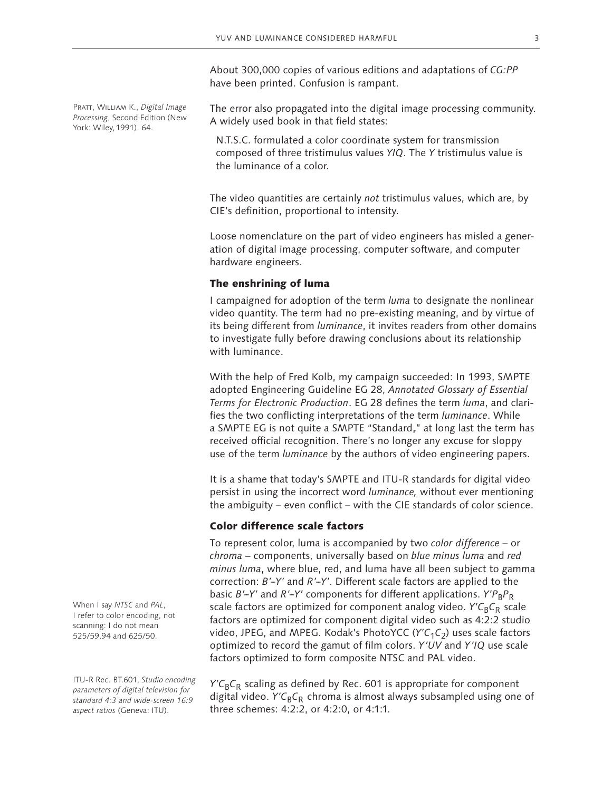About 300,000 copies of various editions and adaptations of *CG:PP* have been printed. Confusion is rampant.

Pratt, William K., *Digital Image Processing*, Second Edition (New York: Wiley, 1991). 64.

The error also propagated into the digital image processing community. A widely used book in that field states:

N.T.S.C. formulated a color coordinate system for transmission composed of three tristimulus values *YIQ*. The *Y* tristimulus value is the luminance of a color.

The video quantities are certainly *not* tristimulus values, which are, by CIE's definition, proportional to intensity.

Loose nomenclature on the part of video engineers has misled a generation of digital image processing, computer software, and computer hardware engineers.

## The enshrining of luma

I campaigned for adoption of the term *luma* to designate the nonlinear video quantity. The term had no pre-existing meaning, and by virtue of its being different from *luminance*, it invites readers from other domains to investigate fully before drawing conclusions about its relationship with luminance.

With the help of Fred Kolb, my campaign succeeded: In 1993, SMPTE adopted Engineering Guideline EG 28, *Annotated Glossary of Essential Terms for Electronic Production*. EG 28 defines the term *luma*, and clarifies the two conflicting interpretations of the term *luminance*. While a SMPTE EG is not quite a SMPTE "Standard," at long last the term has received official recognition. There's no longer any excuse for sloppy use of the term *luminance* by the authors of video engineering papers.

It is a shame that today's SMPTE and ITU-R standards for digital video persist in using the incorrect word *luminance,* without ever mentioning the ambiguity – even conflict – with the CIE standards of color science.

### Color difference scale factors

To represent color, luma is accompanied by two *color difference* – or *chroma* – components, universally based on *blue minus luma* and *red minus luma*, where blue, red, and luma have all been subject to gamma correction:  $B'$ -Y' and  $R'$ -Y'. Different scale factors are applied to the basic *B'-Y'* and *R'-Y'* components for different applications. *Y'P<sub>R</sub>P*<sub>R</sub> scale factors are optimized for component analog video. *Y'C*<sub>B</sub>C<sub>R</sub> scale factors are optimized for component digital video such as 4:2:2 studio video, JPEG, and MPEG. Kodak's PhotoYCC (*Y'C*1*C*2) uses scale factors optimized to record the gamut of film colors. *Y'UV* and *Y'IQ* use scale factors optimized to form composite NTSC and PAL video.

ITU-R Rec. BT.601, *Studio encoding parameters of digital television for standard 4:3 and wide-screen 16:9 aspect ratios* (Geneva: ITU).

*Y'C*<sub>B</sub>*C*<sub>R</sub> scaling as defined by Rec. 601 is appropriate for component digital video. *Y'C*<sub>B</sub>C<sub>R</sub> chroma is almost always subsampled using one of three schemes: 4:2:2, or 4:2:0, or 4:1:1.

When I say *NTSC* and *PAL*, I refer to color encoding, not scanning: I do not mean 525/59.94 and 625/50.